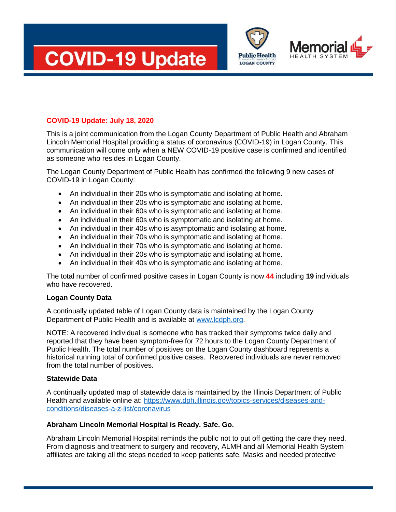



This is a joint communication from the Logan County Department of Public Health and Abraham Lincoln Memorial Hospital providing a status of coronavirus (COVID-19) in Logan County. This communication will come only when a NEW COVID-19 positive case is confirmed and identified as someone who resides in Logan County.

**Public Health LOGAN COUNTY** 

The Logan County Department of Public Health has confirmed the following 9 new cases of COVID-19 in Logan County:

- An individual in their 20s who is symptomatic and isolating at home.
- An individual in their 20s who is symptomatic and isolating at home.
- An individual in their 60s who is symptomatic and isolating at home.
- An individual in their 60s who is symptomatic and isolating at home.
- An individual in their 40s who is asymptomatic and isolating at home.
- An individual in their 70s who is symptomatic and isolating at home.
- An individual in their 70s who is symptomatic and isolating at home.
- An individual in their 20s who is symptomatic and isolating at home.
- An individual in their 40s who is symptomatic and isolating at home.

The total number of confirmed positive cases in Logan County is now **44** including **19** individuals who have recovered.

## **Logan County Data**

A continually updated table of Logan County data is maintained by the Logan County Department of Public Health and is available at [www.lcdph.org.](http://www.lcdph.org/)

NOTE: A recovered individual is someone who has tracked their symptoms twice daily and reported that they have been symptom-free for 72 hours to the Logan County Department of Public Health. The total number of positives on the Logan County dashboard represents a historical running total of confirmed positive cases. Recovered individuals are never removed from the total number of positives.

## **Statewide Data**

A continually updated map of statewide data is maintained by the Illinois Department of Public Health and available online at: [https://www.dph.illinois.gov/topics-services/diseases-and](https://www.dph.illinois.gov/topics-services/diseases-and-conditions/diseases-a-z-list/coronavirus)[conditions/diseases-a-z-list/coronavirus](https://www.dph.illinois.gov/topics-services/diseases-and-conditions/diseases-a-z-list/coronavirus)

## **Abraham Lincoln Memorial Hospital is Ready. Safe. Go.**

Abraham Lincoln Memorial Hospital reminds the public not to put off getting the care they need. From diagnosis and treatment to surgery and recovery, ALMH and all Memorial Health System affiliates are taking all the steps needed to keep patients safe. Masks and needed protective